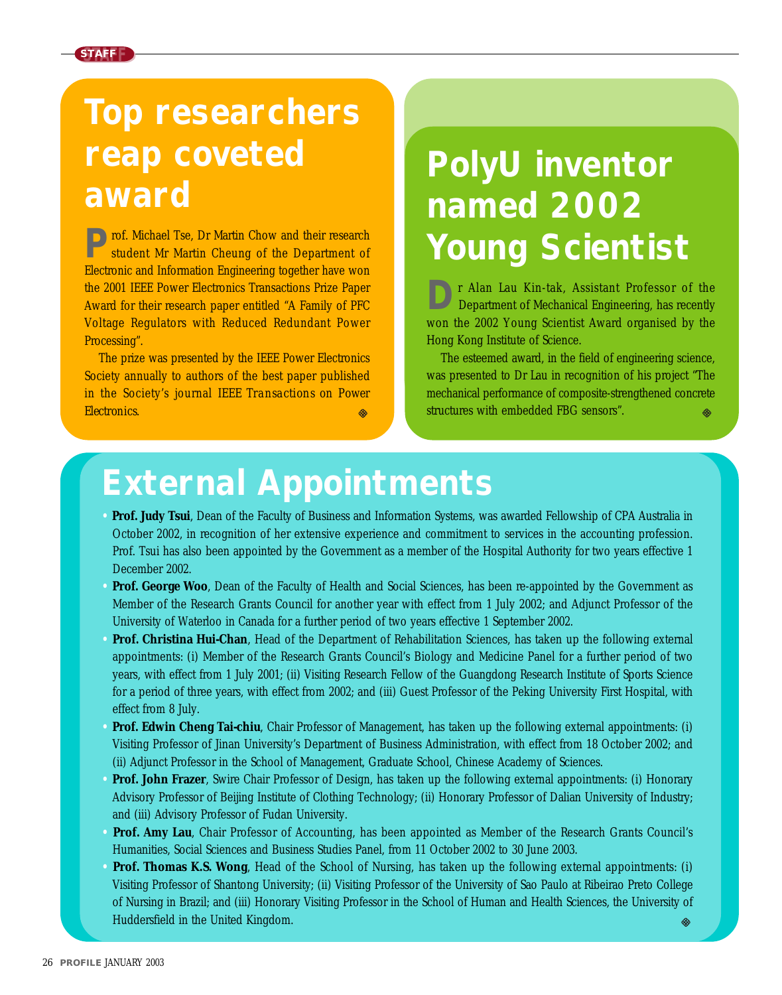

### **Top researchers reap coveted award**

**P**rof. Michael Tse, Dr Martin Chow and their research student Mr Martin Cheung of the Department of Electronic and Information Engineering together have won the 2001 IEEE Power Electronics Transactions Prize Paper Award for their research paper entitled "A Family of PFC Voltage Regulators with Reduced Redundant Power Processing".

The prize was presented by the IEEE Power Electronics Society annually to authors of the best paper published in the Society's journal *IEEE Transactions on Power Electronics*. ⊛

## **PolyU inventor named 2002 Young Scientist**

**D**r Alan Lau Kin-tak, Assistant Professor of the Department of Mechanical Engineering, has recently won the 2002 Young Scientist Award organised by the Hong Kong Institute of Science.

The esteemed award, in the field of engineering science, was presented to Dr Lau in recognition of his project "The mechanical performance of composite-strengthened concrete structures with embedded FBG sensors".

#### **External Appointments**

- **• Prof. Judy Tsui**, Dean of the Faculty of Business and Information Systems, was awarded Fellowship of CPA Australia in October 2002, in recognition of her extensive experience and commitment to services in the accounting profession. Prof. Tsui has also been appointed by the Government as a member of the Hospital Authority for two years effective 1 December 2002.
- **Prof. George Woo**, Dean of the Faculty of Health and Social Sciences, has been re-appointed by the Government as Member of the Research Grants Council for another year with effect from 1 July 2002; and Adjunct Professor of the University of Waterloo in Canada for a further period of two years effective 1 September 2002.
- **Prof. Christina Hui-Chan**, Head of the Department of Rehabilitation Sciences, has taken up the following external appointments: (i) Member of the Research Grants Council's Biology and Medicine Panel for a further period of two years, with effect from 1 July 2001; (ii) Visiting Research Fellow of the Guangdong Research Institute of Sports Science for a period of three years, with effect from 2002; and (iii) Guest Professor of the Peking University First Hospital, with effect from 8 July.
- **• Prof. Edwin Cheng Tai-chiu**, Chair Professor of Management, has taken up the following external appointments: (i) Visiting Professor of Jinan University's Department of Business Administration, with effect from 18 October 2002; and (ii) Adjunct Professor in the School of Management, Graduate School, Chinese Academy of Sciences.
- **• Prof. John Frazer**, Swire Chair Professor of Design, has taken up the following external appointments: (i) Honorary Advisory Professor of Beijing Institute of Clothing Technology; (ii) Honorary Professor of Dalian University of Industry; and (iii) Advisory Professor of Fudan University.
- **• Prof. Amy Lau**, Chair Professor of Accounting, has been appointed as Member of the Research Grants Council's Humanities, Social Sciences and Business Studies Panel, from 11 October 2002 to 30 June 2003.
- **• Prof. Thomas K.S. Wong**, Head of the School of Nursing, has taken up the following external appointments: (i) Visiting Professor of Shantong University; (ii) Visiting Professor of the University of Sao Paulo at Ribeirao Preto College of Nursing in Brazil; and (iii) Honorary Visiting Professor in the School of Human and Health Sciences, the University of Huddersfield in the United Kingdom.⊗